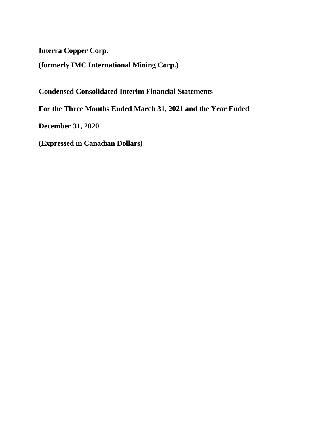**Interra Copper Corp.**

**(formerly IMC International Mining Corp.)**

**Condensed Consolidated Interim Financial Statements**

**For the Three Months Ended March 31, 2021 and the Year Ended** 

**December 31, 2020**

**(Expressed in Canadian Dollars)**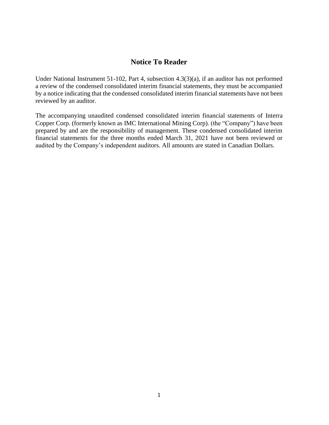# **Notice To Reader**

Under National Instrument 51-102, Part 4, subsection 4.3(3)(a), if an auditor has not performed a review of the condensed consolidated interim financial statements, they must be accompanied by a notice indicating that the condensed consolidated interim financial statements have not been reviewed by an auditor.

The accompanying unaudited condensed consolidated interim financial statements of Interra Copper Corp. (formerly known as IMC International Mining Corp). (the "Company") have been prepared by and are the responsibility of management. These condensed consolidated interim financial statements for the three months ended March 31, 2021 have not been reviewed or audited by the Company's independent auditors. All amounts are stated in Canadian Dollars.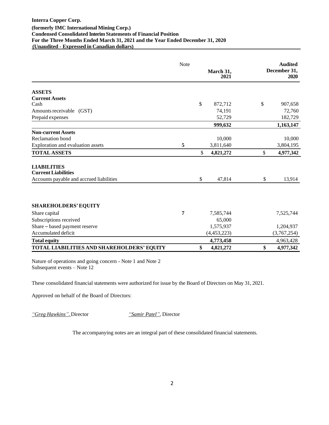|                                                  | Note | March 31,<br><b>2021</b> | <b>Audited</b><br>December 31,<br>2020 |
|--------------------------------------------------|------|--------------------------|----------------------------------------|
| <b>ASSETS</b>                                    |      |                          |                                        |
| <b>Current Assets</b>                            |      |                          |                                        |
| Cash                                             |      | \$<br>872,712            | \$<br>907,658                          |
| Amounts receivable (GST)                         |      | 74,191                   | 72,760                                 |
| Prepaid expenses                                 |      | 52,729                   | 182,729                                |
|                                                  |      | 999,632                  | 1,163,147                              |
| <b>Non-current Assets</b>                        |      |                          |                                        |
| Reclamation bond                                 |      | 10,000                   | 10,000                                 |
| Exploration and evaluation assets                | 5    | 3,811,640                | 3,804,195                              |
| <b>TOTAL ASSETS</b>                              |      | \$<br>4,821,272          | \$<br>4,977,342                        |
| <b>LIABILITIES</b><br><b>Current Liabilities</b> |      |                          |                                        |
| Accounts payable and accrued liabilities         |      | \$<br>47,814             | \$<br>13,914                           |
|                                                  |      |                          |                                        |
| <b>SHAREHOLDERS' EQUITY</b>                      |      |                          |                                        |
| Share capital                                    | 7    | 7,585,744                | 7,525,744                              |
| Subscriptions received                           |      | 65,000                   |                                        |
| Share - based payment reserve                    |      | 1,575,937                | 1,204,937                              |
| Accumulated deficit                              |      | (4,453,223)              | (3,767,254)                            |
| <b>Total equity</b>                              |      | 4,773,458                | 4,963,428                              |
| TOTAL LIABILITIES AND SHAREHOLDERS' EQUITY       |      | \$<br>4,821,272          | \$<br>4,977,342                        |

Nature of operations and going concern - Note 1 and Note 2 Subsequent events – Note 12

These consolidated financial statements were authorized for issue by the Board of Directors on May 31, 2021.

Approved on behalf of the Board of Directors:

*"Greg Hawkins",* Director *"Samir Patel",* Director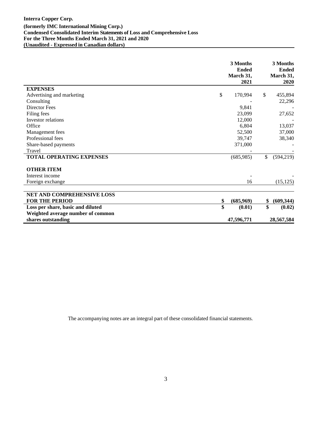|                                   | 3 Months<br><b>Ended</b><br>March 31,<br>2021 | 3 Months<br><b>Ended</b><br>March 31,<br>2020 |
|-----------------------------------|-----------------------------------------------|-----------------------------------------------|
| <b>EXPENSES</b>                   |                                               |                                               |
| Advertising and marketing         | \$<br>170,994                                 | \$<br>455,894                                 |
| Consulting                        |                                               | 22,296                                        |
| <b>Director Fees</b>              | 9,841                                         |                                               |
| Filing fees                       | 23,099                                        | 27,652                                        |
| Investor relations                | 12,000                                        |                                               |
| Office                            | 6,804                                         | 13,037                                        |
| Management fees                   | 52,500                                        | 37,000                                        |
| Professional fees                 | 39,747                                        | 38,340                                        |
| Share-based payments              | 371,000                                       |                                               |
| Travel                            |                                               |                                               |
| <b>TOTAL OPERATING EXPENSES</b>   | (685,985)                                     | \$<br>(594, 219)                              |
| <b>OTHER ITEM</b>                 |                                               |                                               |
| Interest income                   |                                               |                                               |
| Foreign exchange                  | 16                                            | (15, 125)                                     |
| NET AND COMPREHENSIVE LOSS        |                                               |                                               |
| <b>FOR THE PERIOD</b>             | \$<br>(685,969)                               | \$<br>(609, 344)                              |
| Loss per share, basic and diluted | \$<br>(0.01)                                  | \$<br>(0.02)                                  |
| Weighted average number of common |                                               |                                               |
| shares outstanding                | 47,596,771                                    | 28,567,584                                    |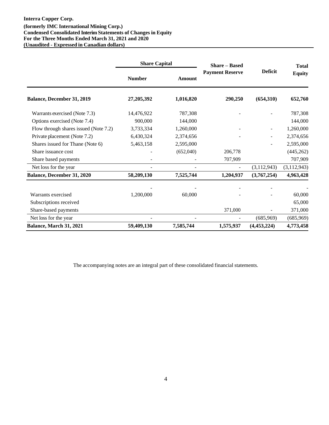|                                       | <b>Share Capital</b> |           | <b>Share – Based</b>                     |               | <b>Total</b>  |  |
|---------------------------------------|----------------------|-----------|------------------------------------------|---------------|---------------|--|
|                                       | <b>Number</b>        | Amount    | <b>Deficit</b><br><b>Payment Reserve</b> |               | <b>Equity</b> |  |
| Balance, December 31, 2019            | 27,205,392           | 1,016,820 | 290,250                                  | (654,310)     | 652,760       |  |
| Warrants exercised (Note 7.3)         | 14,476,922           | 787,308   |                                          |               | 787,308       |  |
| Options exercised (Note 7.4)          | 900,000              | 144,000   |                                          |               | 144,000       |  |
| Flow through shares issued (Note 7.2) | 3,733,334            | 1,260,000 |                                          | $\sim$        | 1,260,000     |  |
| Private placement (Note 7.2)          | 6,430,324            | 2,374,656 |                                          |               | 2,374,656     |  |
| Shares issued for Thane (Note 6)      | 5,463,158            | 2,595,000 |                                          |               | 2,595,000     |  |
| Share issuance cost                   |                      | (652,040) | 206,778                                  |               | (445, 262)    |  |
| Share based payments                  |                      |           | 707,909                                  |               | 707,909       |  |
| Net loss for the year                 |                      |           | $\overline{\phantom{a}}$                 | (3,112,943)   | (3, 112, 943) |  |
| Balance, December 31, 2020            | 58,209,130           | 7,525,744 | 1,204,937                                | (3,767,254)   | 4,963,428     |  |
|                                       |                      |           |                                          |               |               |  |
| Warrants exercised                    | 1,200,000            | 60,000    |                                          |               | 60,000        |  |
| Subscriptions received                |                      |           |                                          |               | 65,000        |  |
| Share-based payments                  |                      |           | 371,000                                  |               | 371,000       |  |
| Net loss for the year                 |                      |           |                                          | (685,969)     | (685,969)     |  |
| Balance, March 31, 2021               | 59,409,130           | 7,585,744 | 1,575,937                                | (4, 453, 224) | 4,773,458     |  |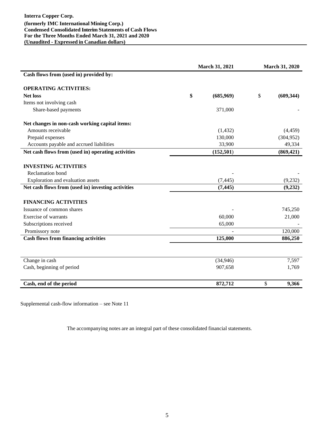|                                                    | March 31, 2021 |            | <b>March 31, 2020</b> |            |
|----------------------------------------------------|----------------|------------|-----------------------|------------|
| Cash flows from (used in) provided by:             |                |            |                       |            |
| <b>OPERATING ACTIVITIES:</b>                       |                |            |                       |            |
| <b>Net loss</b>                                    | \$             | (685,969)  | \$                    | (609, 344) |
| Items not involving cash                           |                |            |                       |            |
| Share-based payments                               |                | 371,000    |                       |            |
| Net changes in non-cash working capital items:     |                |            |                       |            |
| Amounts receivable                                 |                | (1, 432)   |                       | (4, 459)   |
| Prepaid expenses                                   |                | 130,000    |                       | (304, 952) |
| Accounts payable and accrued liabilities           |                | 33,900     |                       | 49,334     |
| Net cash flows from (used in) operating activities |                | (152, 501) |                       | (869, 421) |
| <b>INVESTING ACTIVITIES</b>                        |                |            |                       |            |
| Reclamation bond                                   |                |            |                       |            |
| Exploration and evaluation assets                  |                | (7, 445)   |                       | (9,232)    |
| Net cash flows from (used in) investing activities |                | (7, 445)   |                       | (9, 232)   |
| <b>FINANCING ACTIVITIES</b>                        |                |            |                       |            |
| Issuance of common shares                          |                |            |                       | 745,250    |
| <b>Exercise of warrants</b>                        |                | 60,000     |                       | 21,000     |
| Subscriptions received                             |                | 65,000     |                       |            |
| Promissory note                                    |                |            |                       | 120,000    |
| <b>Cash flows from financing activities</b>        |                | 125,000    |                       | 886,250    |
|                                                    |                |            |                       |            |
| Change in cash                                     |                | (34, 946)  |                       | 7,597      |
| Cash, beginning of period                          |                | 907,658    |                       | 1,769      |
| Cash, end of the period                            |                | 872,712    | \$                    | 9,366      |

Supplemental cash-flow information – see Note 11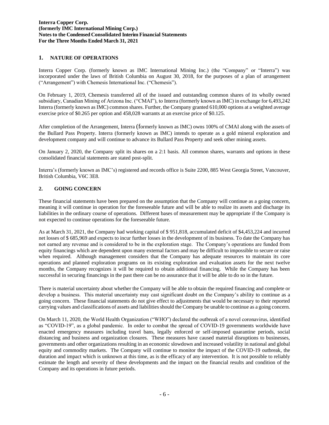# **(Expressed in Canadian dollars) 1. NATURE OF OPERATIONS**

Interra Copper Corp. (formerly known as IMC International Mining Inc.) (the "Company" or "Interra") was incorporated under the laws of British Columbia on August 30, 2018, for the purposes of a plan of arrangement ("Arrangement") with Chemesis International Inc. ("Chemesis").

On February 1, 2019, Chemesis transferred all of the issued and outstanding common shares of its wholly owned subsidiary, Canadian Mining of Arizona Inc. ("CMAI"), to Interra (formerly known as IMC) in exchange for 6,493,242 Interra (formerly known as IMC) common shares. Further, the Company granted 610,000 options at a weighted average exercise price of \$0.265 per option and 458,028 warrants at an exercise price of \$0.125.

After completion of the Arrangement, Interra (formerly known as IMC) owns 100% of CMAI along with the assets of the Bullard Pass Property. Interra (formerly known as IMC) intends to operate as a gold mineral exploration and development company and will continue to advance its Bullard Pass Property and seek other mining assets.

On January 2, 2020, the Company split its shares on a 2:1 basis. All common shares, warrants and options in these consolidated financial statements are stated post-split.

Interra's (formerly known as IMC's) registered and records office is Suite 2200, 885 West Georgia Street, Vancouver, British Columbia, V6C 3E8.

## **2. GOING CONCERN**

These financial statements have been prepared on the assumption that the Company will continue as a going concern, meaning it will continue in operation for the foreseeable future and will be able to realize its assets and discharge its liabilities in the ordinary course of operations. Different bases of measurement may be appropriate if the Company is not expected to continue operations for the foreseeable future.

As at March 31, 2021, the Company had working capital of \$ 951,818, accumulated deficit of \$4,453,224 and incurred net losses of \$ 685,969 and expects to incur further losses in the development of its business. To date the Company has not earned any revenue and is considered to be in the exploration stage. The Company's operations are funded from equity financings which are dependent upon many external factors and may be difficult to impossible to secure or raise when required. Although management considers that the Company has adequate resources to maintain its core operations and planned exploration programs on its existing exploration and evaluation assets for the next twelve months, the Company recognizes it will be required to obtain additional financing. While the Company has been successful in securing financings in the past there can be no assurance that it will be able to do so in the future.

There is material uncertainty about whether the Company will be able to obtain the required financing and complete or develop a business. This material uncertainty may cast significant doubt on the Company's ability to continue as a going concern. These financial statements do not give effect to adjustments that would be necessary to their reported carrying values and classifications of assets and liabilities should the Company be unable to continue as a going concern.

On March 11, 2020, the World Health Organization ("WHO") declared the outbreak of a novel coronavirus, identified as "COVID-19", as a global pandemic. In order to combat the spread of COVID-19 governments worldwide have enacted emergency measures including travel bans, legally enforced or self-imposed quarantine periods, social distancing and business and organization closures. These measures have caused material disruptions to businesses, governments and other organizations resulting in an economic slowdown and increased volatility in national and global equity and commodity markets. The Company will continue to monitor the impact of the COVID-19 outbreak, the duration and impact which is unknown at this time, as is the efficacy of any intervention. It is not possible to reliably estimate the length and severity of these developments and the impact on the financial results and condition of the Company and its operations in future periods.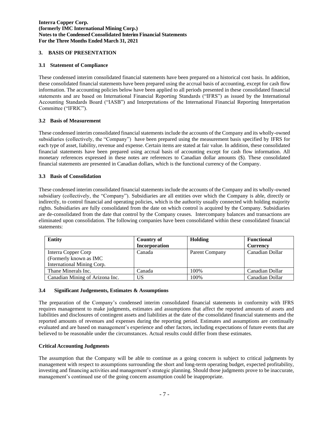# **(Expressed in Canadian dollars) 3. BASIS OF PRESENTATION**

## **3.1 Statement of Compliance**

These condensed interim consolidated financial statements have been prepared on a historical cost basis. In addition, these consolidated financial statements have been prepared using the accrual basis of accounting, except for cash flow information. The accounting policies below have been applied to all periods presented in these consolidated financial statements and are based on International Financial Reporting Standards ("IFRS") as issued by the International Accounting Standards Board ("IASB") and Interpretations of the International Financial Reporting Interpretation Committee ("IFRIC").

## **3.2 Basis of Measurement**

These condensed interim consolidated financial statements include the accounts of the Company and its wholly-owned subsidiaries (collectively, the "Company") have been prepared using the measurement basis specified by IFRS for each type of asset, liability, revenue and expense. Certain items are stated at fair value. In addition, these consolidated financial statements have been prepared using accrual basis of accounting except for cash flow information. All monetary references expressed in these notes are references to Canadian dollar amounts (\$). These consolidated financial statements are presented in Canadian dollars, which is the functional currency of the Company.

## **3.3 Basis of Consolidation**

These condensed interim consolidated financial statements include the accounts of the Company and its wholly-owned subsidiary (collectively, the "Company"). Subsidiaries are all entities over which the Company is able, directly or indirectly, to control financial and operating policies, which is the authority usually connected with holding majority rights. Subsidiaries are fully consolidated from the date on which control is acquired by the Company. Subsidiaries are de-consolidated from the date that control by the Company ceases. Intercompany balances and transactions are eliminated upon consolidation. The following companies have been consolidated within these consolidated financial statements:

| <b>Entity</b>                   | Country of<br>Incorporation | Holding        | <b>Functional</b><br>Currency |
|---------------------------------|-----------------------------|----------------|-------------------------------|
| Interra Copper Corp             | Canada                      | Parent Company | Canadian Dollar               |
| (Formerly known as IMC          |                             |                |                               |
| International Mining Corp.      |                             |                |                               |
| Thane Minerals Inc.             | Canada                      | 100%           | Canadian Dollar               |
| Canadian Mining of Arizona Inc. | US                          | 100%           | Canadian Dollar               |

## **3.4 Significant Judgements, Estimates & Assumptions**

The preparation of the Company's condensed interim consolidated financial statements in conformity with IFRS requires management to make judgments, estimates and assumptions that affect the reported amounts of assets and liabilities and disclosures of contingent assets and liabilities at the date of the consolidated financial statements and the reported amounts of revenues and expenses during the reporting period. Estimates and assumptions are continually evaluated and are based on management's experience and other factors, including expectations of future events that are believed to be reasonable under the circumstances. Actual results could differ from these estimates.

## **Critical Accounting Judgments**

The assumption that the Company will be able to continue as a going concern is subject to critical judgments by management with respect to assumptions surrounding the short and long-term operating budget, expected profitability, investing and financing activities and management's strategic planning. Should those judgments prove to be inaccurate, management's continued use of the going concern assumption could be inappropriate.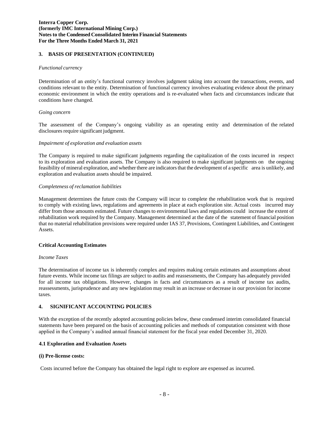## **(Expressed in Canadian dollars) 3. BASIS OF PRESENTATION (CONTINUED)**

#### *Functional currency*

Determination of an entity's functional currency involves judgment taking into account the transactions, events, and conditions relevant to the entity. Determination of functional currency involves evaluating evidence about the primary economic environment in which the entity operations and is re-evaluated when facts and circumstances indicate that conditions have changed.

#### *Going concern*

The assessment of the Company's ongoing viability as an operating entity and determination of the related disclosures require significant judgment.

#### *Impairment of exploration and evaluation assets*

The Company is required to make significant judgments regarding the capitalization of the costs incurred in respect to its exploration and evaluation assets. The Company is also required to make significant judgments on the ongoing feasibility of mineral exploration, and whetherthere are indicatorsthat the development of a specific area is unlikely, and exploration and evaluation assets should be impaired.

#### *Completeness of reclamation liabilities*

Management determines the future costs the Company will incur to complete the rehabilitation work that is required to comply with existing laws, regulations and agreements in place at each exploration site. Actual costs incurred may differ from those amounts estimated. Future changes to environmental laws and regulations could increase the extent of rehabilitation work required by the Company. Management determined at the date of the statement of financial position that no material rehabilitation provisions were required under IAS 37, Provisions, Contingent Liabilities, and Contingent Assets.

#### **Critical Accounting Estimates**

#### *Income Taxes*

The determination of income tax is inherently complex and requires making certain estimates and assumptions about future events. While income tax filings are subject to audits and reassessments, the Company has adequately provided for all income tax obligations. However, changes in facts and circumstances as a result of income tax audits, reassessments, jurisprudence and any new legislation may result in an increase or decrease in our provision for income taxes.

#### **4. SIGNIFICANT ACCOUNTING POLICIES**

With the exception of the recently adopted accounting policies below, these condensed interim consolidated financial statements have been prepared on the basis of accounting policies and methods of computation consistent with those applied in the Company's audited annual financial statement for the fiscal year ended December 31, 2020.

#### **4.1 Exploration and Evaluation Assets**

#### **(i) Pre-license costs:**

Costs incurred before the Company has obtained the legal right to explore are expensed as incurred.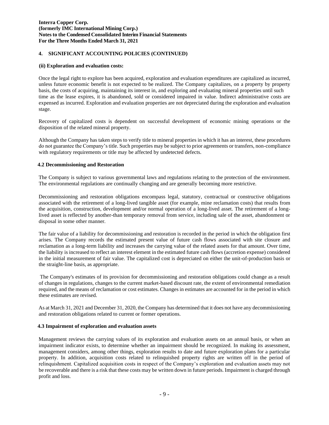## **(Expressed in Canadian dollars) 4. SIGNIFICANT ACCOUNTING POLICIES (CONTINUED)**

#### **(ii) Exploration and evaluation costs:**

Once the legal right to explore has been acquired, exploration and evaluation expenditures are capitalized as incurred, unless future economic benefit is not expected to be realized. The Company capitalizes, on a property by property basis, the costs of acquiring, maintaining its interest in, and exploring and evaluating mineral properties until such time as the lease expires, it is abandoned, sold or considered impaired in value. Indirect administrative costs are expensed as incurred. Exploration and evaluation properties are not depreciated during the exploration and evaluation stage.

Recovery of capitalized costs is dependent on successful development of economic mining operations or the disposition of the related mineral property.

Although the Company has taken steps to verify title to mineral properties in which it has an interest, these procedures do not guarantee the Company's title. Such properties may be subject to prior agreements or transfers, non-compliance with regulatory requirements or title may be affected by undetected defects.

#### **4.2 Decommissioning and Restoration**

The Company is subject to various governmental laws and regulations relating to the protection of the environment. The environmental regulations are continually changing and are generally becoming more restrictive.

Decommissioning and restoration obligations encompass legal, statutory, contractual or constructive obligations associated with the retirement of a long-lived tangible asset (for example, mine reclamation costs) that results from the acquisition, construction, development and/or normal operation of a long-lived asset. The retirement of a longlived asset is reflected by another-than temporary removal from service, including sale of the asset, abandonment or disposal in some other manner.

The fair value of a liability for decommissioning and restoration is recorded in the period in which the obligation first arises. The Company records the estimated present value of future cash flows associated with site closure and reclamation as a long-term liability and increases the carrying value of the related assets for that amount. Over time, the liability is increased to reflect an interest element in the estimated future cash flows (accretion expense) considered in the initial measurement of fair value. The capitalized cost is depreciated on either the unit-of-production basis or the straight-line basis, as appropriate.

The Company's estimates of its provision for decommissioning and restoration obligations could change as a result of changes in regulations, changes to the current market-based discount rate, the extent of environmental remediation required, and the means of reclamation or cost estimates. Changes in estimates are accounted for in the period in which these estimates are revised.

As at March 31, 2021 and December 31, 2020, the Company has determined that it does not have any decommissioning and restoration obligations related to current or former operations.

#### **4.3 Impairment of exploration and evaluation assets**

Management reviews the carrying values of its exploration and evaluation assets on an annual basis, or when an impairment indicator exists, to determine whether an impairment should be recognized. In making its assessment, management considers, among other things, exploration results to date and future exploration plans for a particular property. In addition, acquisition costs related to relinquished property rights are written off in the period of relinquishment. Capitalized acquisition costs in respect of the Company's exploration and evaluation assets may not be recoverable and there is a risk that these costs may be written down in future periods. Impairment is charged through profit and loss.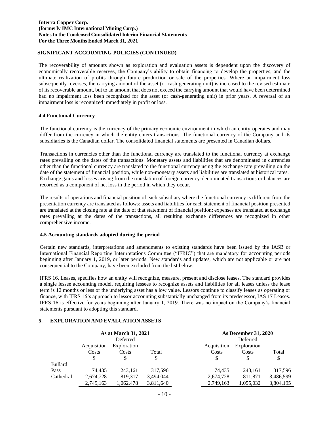## **(Expressed in Canadian dollars) SIGNIFICANT ACCOUNTING POLICIES (CONTINUED)**

The recoverability of amounts shown as exploration and evaluation assets is dependent upon the discovery of economically recoverable reserves, the Company's ability to obtain financing to develop the properties, and the ultimate realization of profits through future production or sale of the properties. Where an impairment loss subsequently reverses, the carrying amount of the asset (or cash generating unit) is increased to the revised estimate of its recoverable amount, but to an amount that does not exceed the carrying amount that would have been determined had no impairment loss been recognized for the asset (or cash-generating unit) in prior years. A reversal of an impairment loss is recognized immediately in profit or loss.

#### **4.4 Functional Currency**

The functional currency is the currency of the primary economic environment in which an entity operates and may differ from the currency in which the entity enters transactions. The functional currency of the Company and its subsidiaries is the Canadian dollar. The consolidated financial statements are presented in Canadian dollars.

Transactions in currencies other than the functional currency are translated to the functional currency at exchange rates prevailing on the dates of the transactions. Monetary assets and liabilities that are denominated in currencies other than the functional currency are translated to the functional currency using the exchange rate prevailing on the date of the statement of financial position, while non-monetary assets and liabilities are translated at historical rates. Exchange gains and losses arising from the translation of foreign currency-denominated transactions or balances are recorded as a component of net loss in the period in which they occur.

The results of operations and financial position of each subsidiary where the functional currency is different from the presentation currency are translated as follows: assets and liabilities for each statement of financial position presented are translated at the closing rate at the date of that statement of financial position; expenses are translated at exchange rates prevailing at the dates of the transactions, all resulting exchange differences are recognized in other comprehensive income.

#### **4.5 Accounting standards adopted during the period**

Certain new standards, interpretations and amendments to existing standards have been issued by the IASB or International Financial Reporting Interpretations Committee ("IFRIC") that are mandatory for accounting periods beginning after January 1, 2019, or later periods. New standards and updates, which are not applicable or are not consequential to the Company, have been excluded from the list below.

IFRS 16, Leases, specifies how an entity will recognize, measure, present and disclose leases. The standard provides a single lessee accounting model, requiring lessees to recognize assets and liabilities for all leases unless the lease term is 12 months or less or the underlying asset has a low value. Lessors continue to classify leases as operating or finance, with IFRS 16's approach to lessor accounting substantially unchanged from its predecessor, IAS 17 Leases. IFRS 16 is effective for years beginning after January 1, 2019. There was no impact on the Company's financial statements pursuant to adopting this standard.

## **5. EXPLORATION AND EVALUATION ASSETS**

|                |             | As at March 31, 2021 |           | <b>As December 31, 2020</b> |             |           |
|----------------|-------------|----------------------|-----------|-----------------------------|-------------|-----------|
|                |             | Deferred             |           |                             | Deferred    |           |
|                | Acquisition | Exploration          |           | Acquisition                 | Exploration |           |
|                | Costs       | Costs                | Total     | Costs                       | Costs       | Total     |
|                | S           | S                    | \$        |                             | S           | \$        |
| <b>Bullard</b> |             |                      |           |                             |             |           |
| Pass           | 74.435      | 243,161              | 317,596   | 74.435                      | 243,161     | 317,596   |
| Cathedral      | 2,674,728   | 819,317              | 3,494,044 | 2,674,728                   | 811,871     | 3,486,599 |
|                | 2,749,163   | 1,062,478            | 3,811,640 | 2,749,163                   | 1,055,032   | 3,804,195 |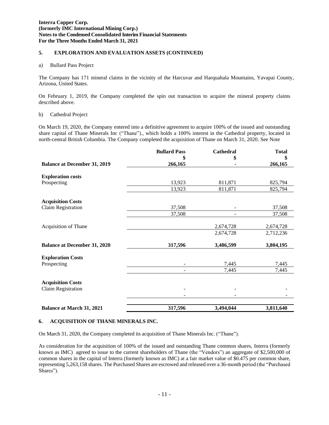# **(Expressed in Canadian dollars) 5. EXPLORATION AND EVALUATION ASSETS (CONTINUED)**

## a) Bullard Pass Project

The Company has 171 mineral claims in the vicinity of the Harcuvar and Harquahala Mountains, Yavapai County, Arizona, United States.

On February 1, 2019, the Company completed the spin out transaction to acquire the mineral property claims described above.

#### b) Cathedral Project

On March 19, 2020, the Company entered into a definitive agreement to acquire 100% of the issued and outstanding share capital of Thane Minerals Inc ("Thane")., which holds a 100% interest in the Cathedral property, located in north-central British Columbia. The Company completed the acquisition of Thane on March 31, 2020. See Note

|                                     | <b>Bullard Pass</b> | Cathedral | <b>Total</b> |
|-------------------------------------|---------------------|-----------|--------------|
|                                     | \$                  | \$        | \$           |
| <b>Balance at December 31, 2019</b> | 266,165             |           | 266,165      |
| <b>Exploration costs</b>            |                     |           |              |
| Prospecting                         | 13,923              | 811,871   | 825,794      |
|                                     | 13,923              | 811,871   | 825,794      |
| <b>Acquisition Costs</b>            |                     |           |              |
| Claim Registration                  | 37,508              |           | 37,508       |
|                                     | 37,508              |           | 37,508       |
| Acquisition of Thane                |                     | 2,674,728 | 2,674,728    |
|                                     |                     | 2,674,728 | 2,712,236    |
| <b>Balance at December 31, 2020</b> | 317,596             | 3,486,599 | 3,804,195    |
| <b>Exploration Costs</b>            |                     |           |              |
| Prospecting                         |                     | 7,445     | 7,445        |
|                                     | ٠                   | 7,445     | 7,445        |
| <b>Acquisition Costs</b>            |                     |           |              |
| Claim Registration                  |                     |           |              |
|                                     |                     |           |              |
| <b>Balance at March 31, 2021</b>    | 317,596             | 3,494,044 | 3,811,640    |

## **6. ACQUISITION OF THANE MINERALS INC.**

On March 31, 2020, the Company completed its acquisition of Thane Minerals Inc. ("Thane").

As consideration for the acquisition of 100% of the issued and outstanding Thane common shares, Interra (formerly known as IMC) agreed to issue to the current shareholders of Thane (the "Vendors") an aggregate of \$2,500,000 of common shares in the capital of Interra (formerly known as IMC) at a fair market value of \$0.475 per common share, representing 5,263,158 shares. The Purchased Shares are escrowed and released over a 36-month period (the "Purchased Shares").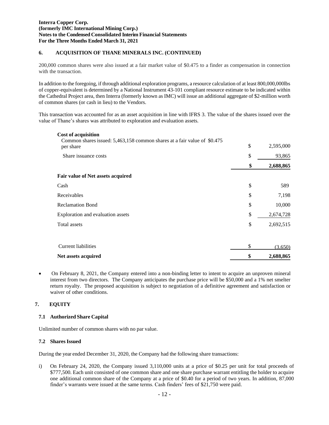# **(Expressed in Canadian dollars) 6. ACQUISITION OF THANE MINERALS INC. (CONTINUED)**

200,000 common shares were also issued at a fair market value of \$0.475 to a finder as compensation in connection with the transaction.

In addition to the foregoing, if through additional exploration programs, a resource calculation of at least 800,000,000lbs of copper-equivalent is determined by a National Instrument 43-101 compliant resource estimate to be indicated within the Cathedral Project area, then Interra (formerly known as IMC) will issue an additional aggregate of \$2-million worth of common shares (or cash in lieu) to the Vendors.

This transaction was accounted for as an asset acquisition in line with IFRS 3. The value of the shares issued over the value of Thane's shares was attributed to exploration and evaluation assets.

| <b>Cost of acquisition</b><br>Common shares issued: 5,463,158 common shares at a fair value of \$0.475 |                 |
|--------------------------------------------------------------------------------------------------------|-----------------|
| per share                                                                                              | \$<br>2,595,000 |
| Share issuance costs                                                                                   | \$<br>93,865    |
|                                                                                                        | \$<br>2,688,865 |
| Fair value of Net assets acquired                                                                      |                 |
| Cash                                                                                                   | \$<br>589       |
| Receivables                                                                                            | \$<br>7,198     |
| <b>Reclamation Bond</b>                                                                                | \$<br>10,000    |
| Exploration and evaluation assets                                                                      | \$<br>2,674,728 |
| Total assets                                                                                           | \$<br>2,692,515 |
|                                                                                                        |                 |
| Current liabilities                                                                                    | \$<br>(3,650)   |
| Net assets acquired                                                                                    | \$<br>2,688,865 |

• On February 8, 2021, the Company entered into a non-binding letter to intent to acquire an unproven mineral interest from two directors. The Company anticipates the purchase price will be \$50,000 and a 1% net smelter return royalty. The proposed acquisition is subject to negotiation of a definitive agreement and satisfaction or waiver of other conditions.

## **7. EQUITY**

## **7.1 Authorized Share Capital**

Unlimited number of common shares with no par value.

## **7.2 SharesIssued**

During the year ended December 31, 2020, the Company had the following share transactions:

i) On February 24, 2020, the Company issued 3,110,000 units at a price of \$0.25 per unit for total proceeds of \$777,500. Each unit consisted of one common share and one share purchase warrant entitling the holder to acquire one additional common share of the Company at a price of \$0.40 for a period of two years. In addition, 87,000 finder's warrants were issued at the same terms. Cash finders' fees of \$21,750 were paid.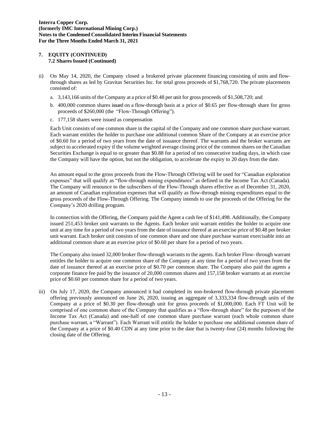## **(Expressed in Canadian dollars) 7. EQUITY (CONTINUED) 7.2 SharesIssued (Continued)**

- ii) On May 14, 2020, the Company closed a brokered private placement financing consisting of units and flowthrough shares as led by Gravitas Securities Inc. for total gross proceeds of \$1,768,720. The private placements consisted of:
	- a. 3,143,166 units of the Company at a price of \$0.48 per unit for gross proceeds of \$1,508,720; and
	- b. 400,000 common shares issued on a flow-through basis at a price of \$0.65 per flow-through share for gross proceeds of \$260,000 (the "Flow-Through Offering").
	- c. 177,158 shares were issued as compensation

Each Unit consists of one common share in the capital of the Company and one common share purchase warrant. Each warrant entitles the holder to purchase one additional common Share of the Company at an exercise price of \$0.60 for a period of two years from the date of issuance thereof. The warrants and the broker warrants are subject to accelerated expiry if the volume weighted average closing price of the common shares on the Canadian Securities Exchange is equal to or greater than \$0.88 for a period of ten consecutive trading days, in which case the Company will have the option, but not the obligation, to accelerate the expiry to 20 days from the date.

An amount equal to the gross proceeds from the Flow-Through Offering will be used for "Canadian exploration expenses" that will qualify as "flow-through mining expenditures" as defined in the Income Tax Act (Canada). The Company will renounce to the subscribers of the Flow-Through shares effective as of December 31, 2020, an amount of Canadian exploration expenses that will qualify as flow-through mining expenditures equal to the gross proceeds of the Flow-Through Offering. The Company intends to use the proceeds of the Offering for the Company's 2020 drilling program.

In connection with the Offering, the Company paid the Agent a cash fee of \$141,498. Additionally, the Company issued 251,453 broker unit warrants to the Agents. Each broker unit warrant entitles the holder to acquire one unit at any time for a period of two years from the date of issuance thereof at an exercise price of \$0.48 per broker unit warrant. Each broker unit consists of one common share and one share purchase warrant exercisable into an additional common share at an exercise price of \$0.60 per share for a period of two years.

The Company also issued 32,000 broker flow-through warrants to the agents. Each broker Flow- through warrant entitles the holder to acquire one common share of the Company at any time for a period of two years from the date of issuance thereof at an exercise price of \$0.70 per common share. The Company also paid the agents a corporate finance fee paid by the issuance of 20,000 common shares and 157,158 broker warrants at an exercise price of \$0.60 per common share for a period of two years.

iii) On July 17, 2020, the Company announced it had completed its non-brokered flow-through private placement offering previously announced on June 26, 2020, issuing an aggregate of 3,333,334 flow-through units of the Company at a price of \$0.30 per flow-through unit for gross proceeds of \$1,000,000. Each FT Unit will be comprised of one common share of the Company that qualifies as a "flow-through share" for the purposes of the Income Tax Act (Canada) and one-half of one common share purchase warrant (each whole common share purchase warrant, a "Warrant"). Each Warrant will entitle the holder to purchase one additional common share of the Company at a price of \$0.40 CDN at any time prior to the date that is twenty-four (24) months following the closing date of the Offering.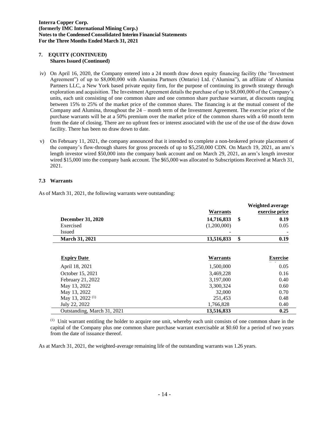## **(Expressed in Canadian dollars) 7. EQUITY (CONTINUED) Shares Issued (Continued)**

- iv) On April 16, 2020, the Company entered into a 24 month draw down equity financing facility (the 'Investment Agreement") of up to \$8,000,000 with Alumina Partners (Ontario) Ltd. ('Alumina"), an affiliate of Alumina Partners LLC, a New York based private equity firm, for the purpose of continuing its growth strategy through exploration and acquisition. The Investment Agreement details the purchase of up to \$8,000,000 of the Company's units, each unit consisting of one common share and one common share purchase warrant, at discounts ranging between 15% to 25% of the market price of the common shares. The financing is at the mutual consent of the Company and Alumina, throughout the 24 – month term of the Investment Agreement. The exercise price of the purchase warrants will be at a 50% premium over the market price of the common shares with a 60 month term from the date of closing. There are no upfront fees or interest associated with the use of the use of the draw down facility. There has been no draw down to date.
- v) On February 11, 2021, the company announced that it intended to complete a non-brokered private placement of the company's flow-through shares for gross proceeds of up to \$5,250,000 CDN. On March 19, 2021, an arm's length investor wired \$50,000 into the company bank account and on March 29, 2021, an arm's length investor wired \$15,000 into the company bank account. The \$65,000 was allocated to Subscriptions Received at March 31, 2021.

## **7.3 Warrants**

As of March 31, 2021, the following warrants were outstanding:

|                             |                 | Weighted average |
|-----------------------------|-----------------|------------------|
|                             | <b>Warrants</b> | exercise price   |
| <b>December 31, 2020</b>    | 14,716,833      | \$<br>0.19       |
| Exercised                   | (1,200,000)     | 0.05             |
| <b>Issued</b>               |                 |                  |
| <b>March 31, 2021</b>       | 13,516,833      | \$<br>0.19       |
|                             |                 |                  |
| <b>Expiry Date</b>          | <b>Warrants</b> | <b>Exercise</b>  |
| April 18, 2021              | 1,500,000       | 0.05             |
| October 15, 2021            | 3,469,228       | 0.16             |
| February 21, 2022           | 3,197,000       | 0.40             |
| May 13, 2022                | 3,300,324       | 0.60             |
| May 13, 2022                | 32,000          | 0.70             |
| May 13, 2022 <sup>(1)</sup> | 251,453         | 0.48             |
| July 22, 2022               | 1,766,828       | 0.40             |
| Outstanding, March 31, 2021 | 13,516,833      | 0.25             |

 $<sup>(1)</sup>$  Unit warrant entitling the holder to acquire one unit, whereby each unit consists of one common share in the</sup> capital of the Company plus one common share purchase warrant exercisable at \$0.60 for a period of two years from the date of issuance thereof.

As at March 31, 2021, the weighted-average remaining life of the outstanding warrants was 1.26 years.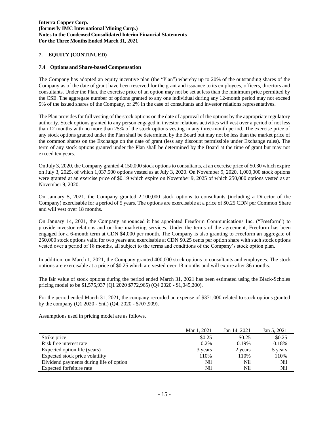# **(Expressed in Canadian dollars) 7. EQUITY (CONTINUED)**

#### **7.4 Options and Share-based Compensation**

The Company has adopted an equity incentive plan (the "Plan") whereby up to 20% of the outstanding shares of the Company as of the date of grant have been reserved for the grant and issuance to its employees, officers, directors and consultants. Under the Plan, the exercise price of an option may not be set at less than the minimum price permitted by the CSE. The aggregate number of options granted to any one individual during any 12-month period may not exceed 5% of the issued shares of the Company, or 2% in the case of consultants and investor relations representatives.

The Plan provides for full vesting of the stock options on the date of approval of the options by the appropriate regulatory authority. Stock options granted to any person engaged in investor relations activities will vest over a period of not less than 12 months with no more than 25% of the stock options vesting in any three-month period. The exercise price of any stock options granted under the Plan shall be determined by the Board but may not be less than the market price of the common shares on the Exchange on the date of grant (less any discount permissible under Exchange rules). The term of any stock options granted under the Plan shall be determined by the Board at the time of grant but may not exceed ten years.

On July 3, 2020, the Company granted 4,150,000 stock options to consultants, at an exercise price of \$0.30 which expire on July 3, 2025, of which 1,037,500 options vested as at July 3, 2020. On November 9, 2020, 1,000,000 stock options were granted at an exercise price of \$0.19 which expire on November 9, 2025 of which 250,000 options vested as at November 9, 2020.

On January 5, 2021, the Company granted 2,100,000 stock options to consultants (including a Director of the Company) exercisable for a period of 5 years. The options are exercisable at a price of \$0.25 CDN per Common Share and will vest over 18 months.

On January 14, 2021, the Company announced it has appointed Freeform Communications Inc. ("Freeform") to provide investor relations and on-line marketing services. Under the terms of the agreement, Freeform has been engaged for a 6-month term at CDN \$4,000 per month. The Company is also granting to Freeform an aggregate of 250,000 stock options valid for two years and exercisable at CDN \$0.25 cents per option share with such stock options vested over a period of 18 months, all subject to the terms and conditions of the Company's stock option plan.

In addition, on March 1, 2021, the Company granted 400,000 stock options to consultants and employees. The stock options are exercisable at a price of \$0.25 which are vested over 18 months and will expire after 36 months.

The fair value of stock options during the period ended March 31, 2021 has been estimated using the Black-Scholes pricing model to be \$1,575,937 (Q1 2020 \$772,965) (Q4 2020 - \$1,045,200).

For the period ended March 31, 2021, the company recorded an expense of \$371,000 related to stock options granted by the company (Q1 2020 - \$nil) (Q4, 2020 - \$707,909).

Assumptions used in pricing model are as follows.

|                                         | Mar 1, 2021 | Jan 14, 2021 | Jan 5, 2021 |
|-----------------------------------------|-------------|--------------|-------------|
| Strike price                            | \$0.25      | \$0.25       | \$0.25      |
| Risk free interest rate                 | $0.2\%$     | 0.19%        | 0.18%       |
| Expected option life (years)            | 3 years     | 2 years      | 5 years     |
| Expected stock price volatility         | 110%        | 110%         | 110%        |
| Dividend payments during life of option | Nil         | Nil          | Nil         |
| Expected forfeiture rate                | Nil         | Nil          | Nil         |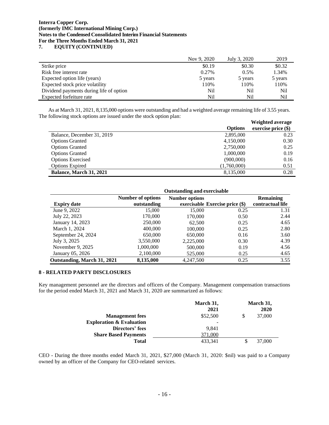(**Unaudited – Expressed in Canadian Dollars 7. EQUITY (CONTINUED)**

|                                         | Nov 9, 2020 | July 3, 2020 | 2019    |
|-----------------------------------------|-------------|--------------|---------|
| Strike price                            | \$0.19      | \$0.30       | \$0.32  |
| Risk free interest rate                 | 0.27%       | 0.5%         | 1.34%   |
| Expected option life (years)            | 5 years     | 5 years      | 5 years |
| Expected stock price volatility         | 110%        | 110%         | 110%    |
| Dividend payments during life of option | Nil         | Nil          | Nil     |
| Expected forfeiture rate                | Nil         | Nil          | Nil     |

As at March 31, 2021, 8,135,000 options were outstanding and had a weighted average remaining life of 3.55 years. The following stock options are issued under the stock option plan:

|                            |                | Weighted average      |
|----------------------------|----------------|-----------------------|
|                            | <b>Options</b> | exercise price $(\$)$ |
| Balance, December 31, 2019 | 2,895,000      | 0.23                  |
| <b>Options Granted</b>     | 4,150,000      | 0.30                  |
| <b>Options Granted</b>     | 2,750,000      | 0.25                  |
| <b>Options Granted</b>     | 1,000,000      | 0.19                  |
| <b>Options Exercised</b>   | (900,000)      | 0.16                  |
| <b>Options Expired</b>     | (1,760,000)    | 0.51                  |
| Balance, March 31, 2021    | 8,135,000      | 0.28                  |

| <b>Number of options</b><br>outstanding  | <b>Number options</b> |      | <b>Remaining</b><br>contractual life |
|------------------------------------------|-----------------------|------|--------------------------------------|
| 15,000                                   | 15,000                | 0.25 | 1.31                                 |
| 170,000                                  | 170,000               | 0.50 | 2.44                                 |
| 250,000                                  | 62,500                | 0.25 | 4.65                                 |
| 400,000                                  | 100,000               | 0.25 | 2.80                                 |
| 650,000                                  | 650,000               | 0.16 | 3.60                                 |
| 3,550,000                                | 2,225,000             | 0.30 | 4.39                                 |
| 1,000,000                                | 500,000               | 0.19 | 4.56                                 |
| 2,100,000                                | 525,000               | 0.25 | 4.65                                 |
| 8,135,000<br>Outstanding, March 31, 2021 | 4,247,500             | 0.25 | 3.55                                 |
|                                          |                       |      | exercisable Exercise price (\$)      |

## **8 - RELATED PARTY DISCLOSURES**

Key management personnel are the directors and officers of the Company. Management compensation transactions for the period ended March 31, 2021 and March 31, 2020 are summarized as follows:

|                                     | March 31,<br>2021 |    | March 31,<br>2020 |
|-------------------------------------|-------------------|----|-------------------|
| <b>Management</b> fees              | \$52,500          | \$ | 37,000            |
| <b>Exploration &amp; Evaluation</b> |                   |    |                   |
| Directors' fees                     | 9.841             |    |                   |
| <b>Share Based Payments</b>         | 371,000           |    |                   |
| <b>Total</b>                        | 433.341           | S  | 37,000            |

CEO - During the three months ended March 31, 2021, \$27,000 (March 31, 2020: \$nil) was paid to a Company owned by an officer of the Company for CEO-related services.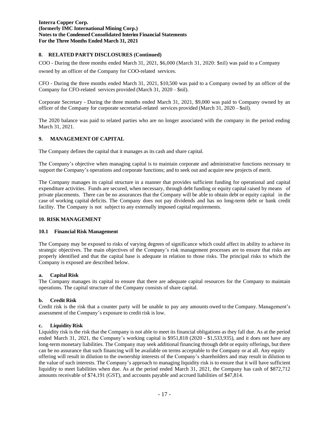# **(Expressed in Canadian dollars) 8. RELATED PARTY DISCLOSURES (Continued)**

COO - During the three months ended March 31, 2021, \$6,000 (March 31, 2020: \$nil) was paid to a Company owned by an officer of the Company for COO-related services.

CFO - During the three months ended March 31, 2021, \$10,500 was paid to a Company owned by an officer of the Company for CFO-related services provided (March 31, 2020 – \$nil).

Corporate Secretary - During the three months ended March 31, 2021, \$9,000 was paid to Company owned by an officer of the Company for corporate secretarial-related services provided (March 31, 2020 – \$nil).

The 2020 balance was paid to related parties who are no longer associated with the company in the period ending March 31, 2021.

## **9. MANAGEMENT OF CAPITAL**

The Company defines the capital that it manages as its cash and share capital.

The Company's objective when managing capital is to maintain corporate and administrative functions necessary to support the Company's operations and corporate functions; and to seek out and acquire new projects of merit.

The Company manages its capital structure in a manner that provides sufficient funding for operational and capital expenditure activities. Funds are secured, when necessary, through debt funding or equity capital raised by means of private placements. There can be no assurances that the Company will be able to obtain debt or equity capital in the case of working capital deficits. The Company does not pay dividends and has no long-term debt or bank credit facility. The Company is not subject to any externally imposed capital requirements.

## **10. RISK MANAGEMENT**

#### **10.1 Financial Risk Management**

The Company may be exposed to risks of varying degrees of significance which could affect its ability to achieve its strategic objectives. The main objectives of the Company's risk management processes are to ensure that risks are properly identified and that the capital base is adequate in relation to those risks. The principal risks to which the Company is exposed are described below.

## **a. Capital Risk**

The Company manages its capital to ensure that there are adequate capital resources for the Company to maintain operations. The capital structure of the Company consists of share capital.

## **b. Credit Risk**

Credit risk is the risk that a counter party will be unable to pay any amounts owed to the Company. Management's assessment of the Company's exposure to credit risk is low.

#### **c. Liquidity Risk**

Liquidity risk is the risk that the Company is not able to meet its financial obligations as they fall due. As at the period ended March 31, 2021, the Company's working capital is \$951,818 (2020 - \$1,533,935), and it does not have any long-term monetary liabilities. The Company may seek additional financing through debt or equity offerings, but there can be no assurance that such financing will be available on terms acceptable to the Company or at all. Any equity offering will result in dilution to the ownership interests of the Company's shareholders and may result in dilution to the value of such interests. The Company's approach to managing liquidity risk is to ensure that it will have sufficient liquidity to meet liabilities when due. As at the period ended March 31, 2021, the Company has cash of \$872,712 amounts receivable of \$74,191 (GST), and accounts payable and accrued liabilities of \$47,814.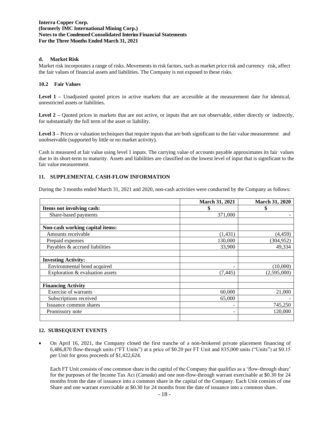## **d. Market Risk**

Market risk incorporates a range of risks. Movements in risk factors, such as market price risk and currency risk, affect the fair values of financial assets and liabilities. The Company is not exposed to these risks.

## **10.2 Fair Values**

**Level 1 –** Unadjusted quoted prices in active markets that are accessible at the measurement date for identical, unrestricted assets or liabilities.

**Level 2 –** Quoted prices in markets that are not active, or inputs that are not observable, either directly or indirectly, for substantially the full term of the asset or liability.

**Level 3 –** Prices or valuation techniques that require inputs that are both significant to the fair value measurement and unobservable (supported by little or no market activity).

Cash is measured at fair value using level 1 inputs. The carrying value of accounts payable approximates its fair values due to its short-term to maturity. Assets and liabilities are classified on the lowest level of input that is significant to the fair value measurement.

## **11. SUPPLEMENTAL CASH-FLOW INFORMATION**

During the 3 months ended March 31, 2021 and 2020, non-cash activities were conducted by the Company as follows:

|                                 | <b>March 31, 2021</b> | <b>March 31, 2020</b> |
|---------------------------------|-----------------------|-----------------------|
| Items not involving cash:       | \$                    | \$                    |
| Share-based payments            | 371,000               |                       |
|                                 |                       |                       |
| Non-cash working capital items: |                       |                       |
| Amounts receivable              | (1, 431)              | (4, 459)              |
| Prepaid expenses                | 130,000               | (304, 952)            |
| Payables & accrued liabilities  | 33,900                | 49,334                |
|                                 |                       |                       |
| <b>Investing Activity:</b>      |                       |                       |
| Environmental bond acquired     | ۰                     | (10,000)              |
| Exploration & evaluation assets | (7, 445)              | (2,595,000)           |
|                                 |                       |                       |
| <b>Financing Activity</b>       |                       |                       |
| Exercise of warrants            | 60,000                | 21,000                |
| Subscriptions received          | 65,000                |                       |
| Issuance common shares          | -                     | 745,250               |
| Promissory note                 | -                     | 120,000               |
|                                 |                       |                       |

#### **12. SUBSEQUENT EVENTS**

• On April 16, 2021, the Company closed the first tranche of a non-brokered private placement financing of 6,486,870 flow-through units ("FT Units") at a price of \$0.20 per FT Unit and 835,000 units ("Units") at \$0.15 per Unit for gross proceeds of \$1,422,624.

Each FT Unit consists of one common share in the capital of the Company that qualifies as a 'flow-through share' for the purposes of the Income Tax Act (*Canada*) and one non-flow-through warrant exercisable at \$0.30 for 24 months from the date of issuance into a common share in the capital of the Company. Each Unit consists of one Share and one warrant exercisable at \$0.30 for 24 months from the date of issuance into a common share.